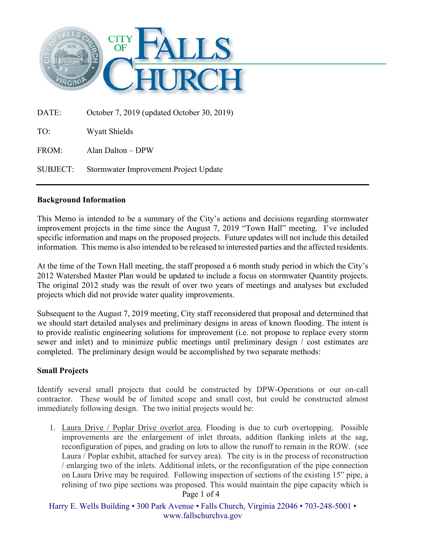

DATE: October 7, 2019 (updated October 30, 2019) TO: Wyatt Shields FROM: Alan Dalton – DPW SUBJECT: Stormwater Improvement Project Update

## **Background Information**

This Memo is intended to be a summary of the City's actions and decisions regarding stormwater improvement projects in the time since the August 7, 2019 "Town Hall" meeting. I've included specific information and maps on the proposed projects. Future updates will not include this detailed information. This memo is also intended to be released to interested parties and the affected residents.

At the time of the Town Hall meeting, the staff proposed a 6 month study period in which the City's 2012 Watershed Master Plan would be updated to include a focus on stormwater Quantity projects. The original 2012 study was the result of over two years of meetings and analyses but excluded projects which did not provide water quality improvements.

Subsequent to the August 7, 2019 meeting, City staff reconsidered that proposal and determined that we should start detailed analyses and preliminary designs in areas of known flooding. The intent is to provide realistic engineering solutions for improvement (i.e. not propose to replace every storm sewer and inlet) and to minimize public meetings until preliminary design / cost estimates are completed. The preliminary design would be accomplished by two separate methods:

### **Small Projects**

Identify several small projects that could be constructed by DPW-Operations or our on-call contractor. These would be of limited scope and small cost, but could be constructed almost immediately following design. The two initial projects would be:

1. Laura Drive / Poplar Drive overlot area. Flooding is due to curb overtopping. Possible improvements are the enlargement of inlet throats, addition flanking inlets at the sag, reconfiguration of pipes, and grading on lots to allow the runoff to remain in the ROW. (see Laura / Poplar exhibit, attached for survey area). The city is in the process of reconstruction / enlarging two of the inlets. Additional inlets, or the reconfiguration of the pipe connection on Laura Drive may be required. Following inspection of sections of the existing 15" pipe, a relining of two pipe sections was proposed. This would maintain the pipe capacity which is

Page 1 of 4

Harry E. Wells Building • 300 Park Avenue • Falls Church, Virginia 22046 • 703-248-5001 • www.fallschurchva.gov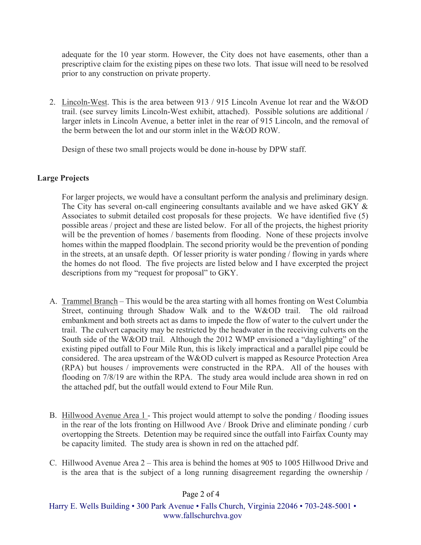adequate for the 10 year storm. However, the City does not have easements, other than a prescriptive claim for the existing pipes on these two lots. That issue will need to be resolved prior to any construction on private property.

2. Lincoln-West. This is the area between 913 / 915 Lincoln Avenue lot rear and the W&OD trail. (see survey limits Lincoln-West exhibit, attached). Possible solutions are additional / larger inlets in Lincoln Avenue, a better inlet in the rear of 915 Lincoln, and the removal of the berm between the lot and our storm inlet in the W&OD ROW.

Design of these two small projects would be done in-house by DPW staff.

# **Large Projects**

For larger projects, we would have a consultant perform the analysis and preliminary design. The City has several on-call engineering consultants available and we have asked GKY & Associates to submit detailed cost proposals for these projects. We have identified five (5) possible areas / project and these are listed below. For all of the projects, the highest priority will be the prevention of homes / basements from flooding. None of these projects involve homes within the mapped floodplain. The second priority would be the prevention of ponding in the streets, at an unsafe depth. Of lesser priority is water ponding / flowing in yards where the homes do not flood. The five projects are listed below and I have excerpted the project descriptions from my "request for proposal" to GKY.

- A. Trammel Branch This would be the area starting with all homes fronting on West Columbia Street, continuing through Shadow Walk and to the W&OD trail. The old railroad embankment and both streets act as dams to impede the flow of water to the culvert under the trail. The culvert capacity may be restricted by the headwater in the receiving culverts on the South side of the W&OD trail. Although the 2012 WMP envisioned a "daylighting" of the existing piped outfall to Four Mile Run, this is likely impractical and a parallel pipe could be considered. The area upstream of the W&OD culvert is mapped as Resource Protection Area (RPA) but houses / improvements were constructed in the RPA. All of the houses with flooding on 7/8/19 are within the RPA. The study area would include area shown in red on the attached pdf, but the outfall would extend to Four Mile Run.
- B. Hillwood Avenue Area 1 This project would attempt to solve the ponding / flooding issues in the rear of the lots fronting on Hillwood Ave / Brook Drive and eliminate ponding / curb overtopping the Streets. Detention may be required since the outfall into Fairfax County may be capacity limited. The study area is shown in red on the attached pdf.
- C. Hillwood Avenue Area 2 This area is behind the homes at 905 to 1005 Hillwood Drive and is the area that is the subject of a long running disagreement regarding the ownership /

Page 2 of 4

Harry E. Wells Building • 300 Park Avenue • Falls Church, Virginia 22046 • 703-248-5001 • www.fallschurchva.gov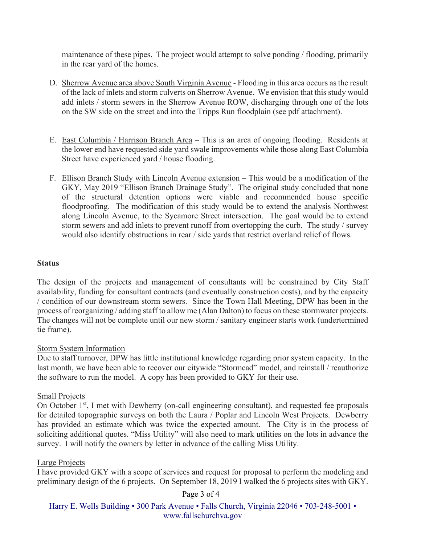maintenance of these pipes. The project would attempt to solve ponding / flooding, primarily in the rear yard of the homes.

- D. Sherrow Avenue area above South Virginia Avenue Flooding in this area occurs as the result of the lack of inlets and storm culverts on Sherrow Avenue. We envision that this study would add inlets / storm sewers in the Sherrow Avenue ROW, discharging through one of the lots on the SW side on the street and into the Tripps Run floodplain (see pdf attachment).
- E. East Columbia / Harrison Branch Area This is an area of ongoing flooding. Residents at the lower end have requested side yard swale improvements while those along East Columbia Street have experienced yard / house flooding.
- F. Ellison Branch Study with Lincoln Avenue extension This would be a modification of the GKY, May 2019 "Ellison Branch Drainage Study". The original study concluded that none of the structural detention options were viable and recommended house specific floodproofing. The modification of this study would be to extend the analysis Northwest along Lincoln Avenue, to the Sycamore Street intersection. The goal would be to extend storm sewers and add inlets to prevent runoff from overtopping the curb. The study / survey would also identify obstructions in rear / side yards that restrict overland relief of flows.

### **Status**

The design of the projects and management of consultants will be constrained by City Staff availability, funding for consultant contracts (and eventually construction costs), and by the capacity / condition of our downstream storm sewers. Since the Town Hall Meeting, DPW has been in the process of reorganizing / adding staff to allow me (Alan Dalton) to focus on these stormwater projects. The changes will not be complete until our new storm / sanitary engineer starts work (undertermined tie frame).

### Storm System Information

Due to staff turnover, DPW has little institutional knowledge regarding prior system capacity. In the last month, we have been able to recover our citywide "Stormcad" model, and reinstall / reauthorize the software to run the model. A copy has been provided to GKY for their use.

### Small Projects

On October  $1<sup>st</sup>$ , I met with Dewberry (on-call engineering consultant), and requested fee proposals for detailed topographic surveys on both the Laura / Poplar and Lincoln West Projects. Dewberry has provided an estimate which was twice the expected amount. The City is in the process of soliciting additional quotes. "Miss Utility" will also need to mark utilities on the lots in advance the survey. I will notify the owners by letter in advance of the calling Miss Utility.

### Large Projects

I have provided GKY with a scope of services and request for proposal to perform the modeling and preliminary design of the 6 projects. On September 18, 2019 I walked the 6 projects sites with GKY.

Page 3 of 4

Harry E. Wells Building • 300 Park Avenue • Falls Church, Virginia 22046 • 703-248-5001 • www.fallschurchva.gov